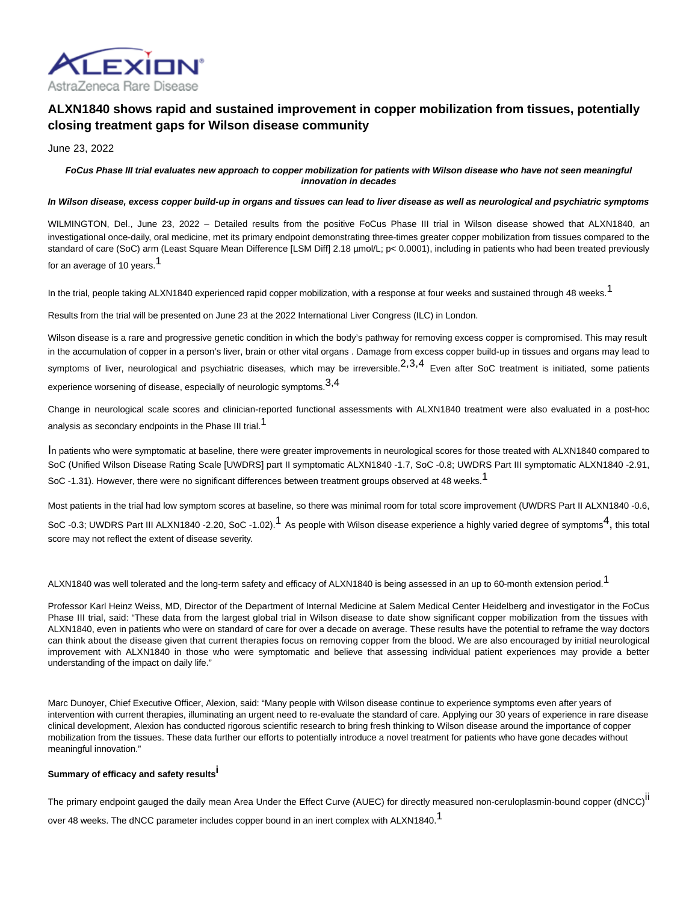

# **ALXN1840 shows rapid and sustained improvement in copper mobilization from tissues, potentially closing treatment gaps for Wilson disease community**

June 23, 2022

# **FoCus Phase III trial evaluates new approach to copper mobilization for patients with Wilson disease who have not seen meaningful innovation in decades**

### **In Wilson disease, excess copper build-up in organs and tissues can lead to liver disease as well as neurological and psychiatric symptoms**

WILMINGTON, Del., June 23, 2022 - Detailed results from the positive FoCus Phase III trial in Wilson disease showed that ALXN1840, an investigational once-daily, oral medicine, met its primary endpoint demonstrating three-times greater copper mobilization from tissues compared to the standard of care (SoC) arm (Least Square Mean Difference [LSM Diff] 2.18 µmol/L; p< 0.0001), including in patients who had been treated previously for an average of 10 years.<sup>1</sup>

In the trial, people taking ALXN1840 experienced rapid copper mobilization, with a response at four weeks and sustained through 48 weeks.<sup>1</sup>

Results from the trial will be presented on June 23 at the 2022 International Liver Congress (ILC) in London.

Wilson disease is a rare and progressive genetic condition in which the body's pathway for removing excess copper is compromised. This may result in the accumulation of copper in a person's liver, brain or other vital organs . Damage from excess copper build-up in tissues and organs may lead to symptoms of liver, neurological and psychiatric diseases, which may be irreversible. $2,3,4$  Even after SoC treatment is initiated. some patients experience worsening of disease, especially of neurologic symptoms.3,4

Change in neurological scale scores and clinician-reported functional assessments with ALXN1840 treatment were also evaluated in a post-hoc analysis as secondary endpoints in the Phase III trial.<sup>1</sup>

In patients who were symptomatic at baseline, there were greater improvements in neurological scores for those treated with ALXN1840 compared to SoC (Unified Wilson Disease Rating Scale [UWDRS] part II symptomatic ALXN1840 -1.7, SoC -0.8; UWDRS Part III symptomatic ALXN1840 -2.91, SoC -1.31). However, there were no significant differences between treatment groups observed at 48 weeks.<sup>1</sup>

Most patients in the trial had low symptom scores at baseline, so there was minimal room for total score improvement (UWDRS Part II ALXN1840 -0.6, SoC -0.3; UWDRS Part III ALXN1840 -2.20, SoC -1.02).<sup>1</sup> As people with Wilson disease experience a highly varied degree of symptoms<sup>4</sup>, this total score may not reflect the extent of disease severity.

ALXN1840 was well tolerated and the long-term safety and efficacy of ALXN1840 is being assessed in an up to 60-month extension period.<sup>1</sup>

Professor Karl Heinz Weiss, MD, Director of the Department of Internal Medicine at Salem Medical Center Heidelberg and investigator in the FoCus Phase III trial, said: "These data from the largest global trial in Wilson disease to date show significant copper mobilization from the tissues with ALXN1840, even in patients who were on standard of care for over a decade on average. These results have the potential to reframe the way doctors can think about the disease given that current therapies focus on removing copper from the blood. We are also encouraged by initial neurological improvement with ALXN1840 in those who were symptomatic and believe that assessing individual patient experiences may provide a better understanding of the impact on daily life."

Marc Dunoyer, Chief Executive Officer, Alexion, said: "Many people with Wilson disease continue to experience symptoms even after years of intervention with current therapies, illuminating an urgent need to re-evaluate the standard of care. Applying our 30 years of experience in rare disease clinical development, Alexion has conducted rigorous scientific research to bring fresh thinking to Wilson disease around the importance of copper mobilization from the tissues. These data further our efforts to potentially introduce a novel treatment for patients who have gone decades without meaningful innovation."

# **Summary of efficacy and safety resultsi**

The primary endpoint gauged the daily mean Area Under the Effect Curve (AUEC) for directly measured non-ceruloplasmin-bound copper (dNCC)<sup>II</sup>

over 48 weeks. The dNCC parameter includes copper bound in an inert complex with ALXN1840.<sup>1</sup>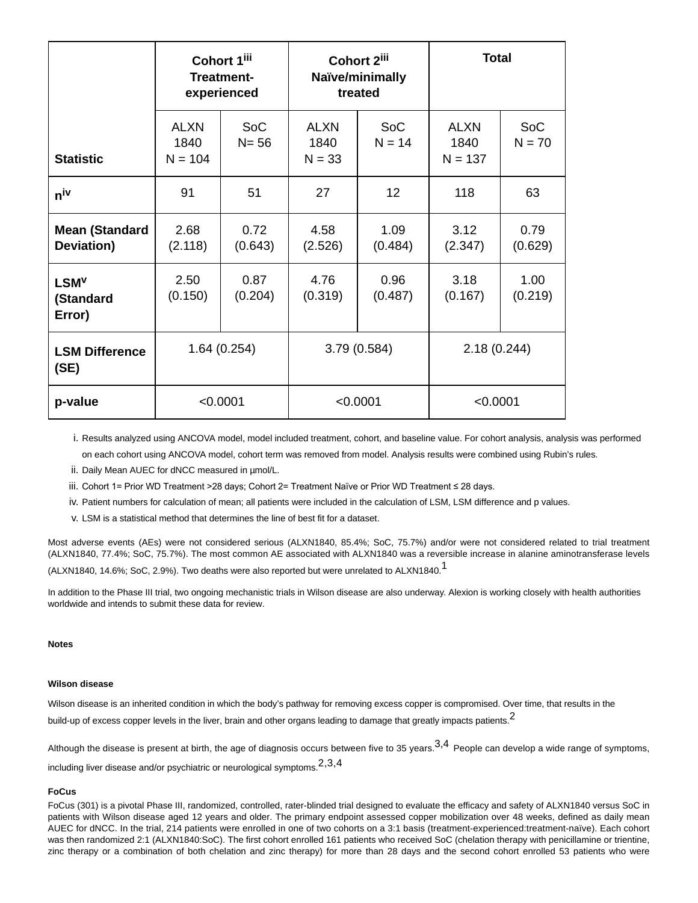|                                         | Cohort 1iii<br><b>Treatment-</b><br>experienced |                        | Cohort 2 <sup>iii</sup><br>Naïve/minimally<br>treated |                        | <b>Total</b>              |                        |
|-----------------------------------------|-------------------------------------------------|------------------------|-------------------------------------------------------|------------------------|---------------------------|------------------------|
| <b>Statistic</b>                        | <b>ALXN</b><br>1840<br>$N = 104$                | <b>SoC</b><br>$N = 56$ | <b>ALXN</b><br>1840<br>$N = 33$                       | <b>SoC</b><br>$N = 14$ | ALXN<br>1840<br>$N = 137$ | <b>SoC</b><br>$N = 70$ |
| n <sup>iv</sup>                         | 91                                              | 51                     | 27                                                    | 12                     | 118                       | 63                     |
| <b>Mean (Standard</b><br>Deviation)     | 2.68<br>(2.118)                                 | 0.72<br>(0.643)        | 4.58<br>(2.526)                                       | 1.09<br>(0.484)        | 3.12<br>(2.347)           | 0.79<br>(0.629)        |
| LSM <sup>V</sup><br>(Standard<br>Error) | 2.50<br>(0.150)                                 | 0.87<br>(0.204)        | 4.76<br>(0.319)                                       | 0.96<br>(0.487)        | 3.18<br>(0.167)           | 1.00<br>(0.219)        |
| <b>LSM Difference</b><br>(SE)           | 1.64 (0.254)                                    |                        | 3.79 (0.584)                                          |                        | 2.18(0.244)               |                        |
| p-value                                 | < 0.0001                                        |                        | < 0.0001                                              |                        | < 0.0001                  |                        |

i. Results analyzed using ANCOVA model, model included treatment, cohort, and baseline value. For cohort analysis, analysis was performed on each cohort using ANCOVA model, cohort term was removed from model. Analysis results were combined using Rubin's rules.

- ii. Daily Mean AUEC for dNCC measured in µmol/L.
- iii. Cohort 1= Prior WD Treatment >28 days; Cohort 2= Treatment Naïve or Prior WD Treatment ≤ 28 days.
- iv. Patient numbers for calculation of mean; all patients were included in the calculation of LSM, LSM difference and p values.
- v. LSM is a statistical method that determines the line of best fit for a dataset.

Most adverse events (AEs) were not considered serious (ALXN1840, 85.4%; SoC, 75.7%) and/or were not considered related to trial treatment (ALXN1840, 77.4%; SoC, 75.7%). The most common AE associated with ALXN1840 was a reversible increase in alanine aminotransferase levels

(ALXN1840, 14.6%; SoC, 2.9%). Two deaths were also reported but were unrelated to ALXN1840.<sup>1</sup>

In addition to the Phase III trial, two ongoing mechanistic trials in Wilson disease are also underway. Alexion is working closely with health authorities worldwide and intends to submit these data for review.

#### **Notes**

### **Wilson disease**

Wilson disease is an inherited condition in which the body's pathway for removing excess copper is compromised. Over time, that results in the build-up of excess copper levels in the liver, brain and other organs leading to damage that greatly impacts patients.<sup>2</sup>

Although the disease is present at birth, the age of diagnosis occurs between five to 35 years.  $3,4$  People can develop a wide range of symptoms, including liver disease and/or psychiatric or neurological symptoms.2,3,4

#### **FoCus**

FoCus (301) is a pivotal Phase III, randomized, controlled, rater-blinded trial designed to evaluate the efficacy and safety of ALXN1840 versus SoC in patients with Wilson disease aged 12 years and older. The primary endpoint assessed copper mobilization over 48 weeks, defined as daily mean AUEC for dNCC. In the trial, 214 patients were enrolled in one of two cohorts on a 3:1 basis (treatment-experienced:treatment-naïve). Each cohort was then randomized 2:1 (ALXN1840:SoC). The first cohort enrolled 161 patients who received SoC (chelation therapy with penicillamine or trientine, zinc therapy or a combination of both chelation and zinc therapy) for more than 28 days and the second cohort enrolled 53 patients who were